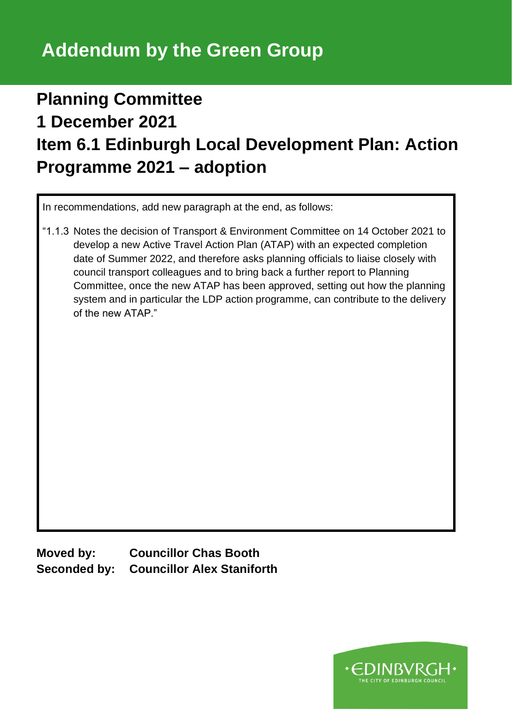## **Planning Committee 1 December 2021 Item 6.1 Edinburgh Local Development Plan: Action Programme 2021 – adoption**

In recommendations, add new paragraph at the end, as follows:

"1.1.3 Notes the decision of Transport & Environment Committee on 14 October 2021 to develop a new Active Travel Action Plan (ATAP) with an expected completion date of Summer 2022, and therefore asks planning officials to liaise closely with council transport colleagues and to bring back a further report to Planning Committee, once the new ATAP has been approved, setting out how the planning system and in particular the LDP action programme, can contribute to the delivery of the new ATAP."

**Moved by: Councillor Chas Booth Seconded by: Councillor Alex Staniforth**